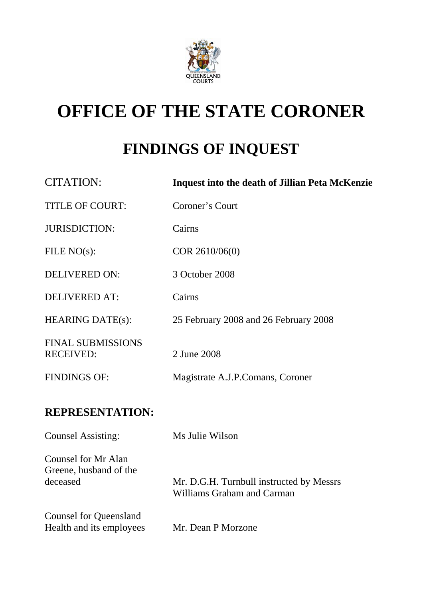

# **OFFICE OF THE STATE CORONER**

## **FINDINGS OF INQUEST**

| CITATION:                                    | <b>Inquest into the death of Jillian Peta McKenzie</b> |
|----------------------------------------------|--------------------------------------------------------|
| <b>TITLE OF COURT:</b>                       | Coroner's Court                                        |
| <b>JURISDICTION:</b>                         | Cairns                                                 |
| FILE $NO(s)$ :                               | COR 2610/06(0)                                         |
| DELIVERED ON:                                | 3 October 2008                                         |
| <b>DELIVERED AT:</b>                         | Cairns                                                 |
| <b>HEARING DATE(s):</b>                      | 25 February 2008 and 26 February 2008                  |
| <b>FINAL SUBMISSIONS</b><br><b>RECEIVED:</b> | 2 June 2008                                            |
| <b>FINDINGS OF:</b>                          | Magistrate A.J.P.Comans, Coroner                       |
|                                              |                                                        |

### **REPRESENTATION:**

| <b>Counsel Assisting:</b>                                 | Ms Julie Wilson                                                        |
|-----------------------------------------------------------|------------------------------------------------------------------------|
| Counsel for Mr Alan<br>Greene, husband of the<br>deceased | Mr. D.G.H. Turnbull instructed by Messrs<br>Williams Graham and Carman |
| <b>Counsel for Queensland</b><br>Health and its employees | Mr. Dean P Morzone                                                     |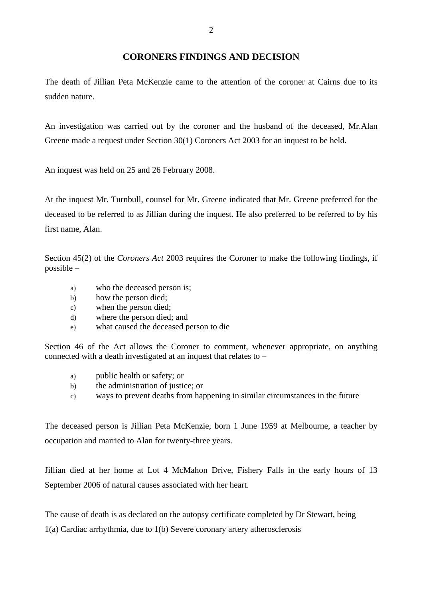The death of Jillian Peta McKenzie came to the attention of the coroner at Cairns due to its sudden nature.

An investigation was carried out by the coroner and the husband of the deceased, Mr.Alan Greene made a request under Section 30(1) Coroners Act 2003 for an inquest to be held.

An inquest was held on 25 and 26 February 2008.

At the inquest Mr. Turnbull, counsel for Mr. Greene indicated that Mr. Greene preferred for the deceased to be referred to as Jillian during the inquest. He also preferred to be referred to by his first name, Alan.

Section 45(2) of the *Coroners Act* 2003 requires the Coroner to make the following findings, if possible –

- a) who the deceased person is;
- b) how the person died;
- c) when the person died;
- d) where the person died; and
- e) what caused the deceased person to die

Section 46 of the Act allows the Coroner to comment, whenever appropriate, on anything connected with a death investigated at an inquest that relates to –

- a) public health or safety; or
- b) the administration of justice; or
- c) ways to prevent deaths from happening in similar circumstances in the future

The deceased person is Jillian Peta McKenzie, born 1 June 1959 at Melbourne, a teacher by occupation and married to Alan for twenty-three years.

Jillian died at her home at Lot 4 McMahon Drive, Fishery Falls in the early hours of 13 September 2006 of natural causes associated with her heart.

The cause of death is as declared on the autopsy certificate completed by Dr Stewart, being

1(a) Cardiac arrhythmia, due to 1(b) Severe coronary artery atherosclerosis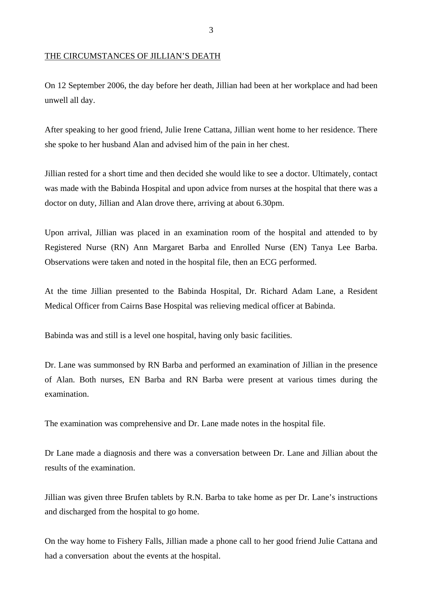#### THE CIRCUMSTANCES OF JILLIAN'S DEATH

On 12 September 2006, the day before her death, Jillian had been at her workplace and had been unwell all day.

After speaking to her good friend, Julie Irene Cattana, Jillian went home to her residence. There she spoke to her husband Alan and advised him of the pain in her chest.

Jillian rested for a short time and then decided she would like to see a doctor. Ultimately, contact was made with the Babinda Hospital and upon advice from nurses at the hospital that there was a doctor on duty, Jillian and Alan drove there, arriving at about 6.30pm.

Upon arrival, Jillian was placed in an examination room of the hospital and attended to by Registered Nurse (RN) Ann Margaret Barba and Enrolled Nurse (EN) Tanya Lee Barba. Observations were taken and noted in the hospital file, then an ECG performed.

At the time Jillian presented to the Babinda Hospital, Dr. Richard Adam Lane, a Resident Medical Officer from Cairns Base Hospital was relieving medical officer at Babinda.

Babinda was and still is a level one hospital, having only basic facilities.

Dr. Lane was summonsed by RN Barba and performed an examination of Jillian in the presence of Alan. Both nurses, EN Barba and RN Barba were present at various times during the examination.

The examination was comprehensive and Dr. Lane made notes in the hospital file.

Dr Lane made a diagnosis and there was a conversation between Dr. Lane and Jillian about the results of the examination.

Jillian was given three Brufen tablets by R.N. Barba to take home as per Dr. Lane's instructions and discharged from the hospital to go home.

On the way home to Fishery Falls, Jillian made a phone call to her good friend Julie Cattana and had a conversation about the events at the hospital.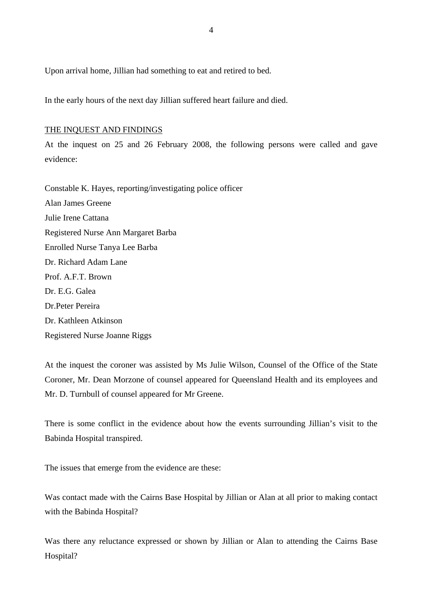Upon arrival home, Jillian had something to eat and retired to bed.

In the early hours of the next day Jillian suffered heart failure and died.

#### THE INQUEST AND FINDINGS

At the inquest on 25 and 26 February 2008, the following persons were called and gave evidence:

Constable K. Hayes, reporting/investigating police officer Alan James Greene Julie Irene Cattana Registered Nurse Ann Margaret Barba Enrolled Nurse Tanya Lee Barba Dr. Richard Adam Lane Prof. A.F.T. Brown Dr. E.G. Galea Dr.Peter Pereira Dr. Kathleen Atkinson Registered Nurse Joanne Riggs

At the inquest the coroner was assisted by Ms Julie Wilson, Counsel of the Office of the State Coroner, Mr. Dean Morzone of counsel appeared for Queensland Health and its employees and Mr. D. Turnbull of counsel appeared for Mr Greene.

There is some conflict in the evidence about how the events surrounding Jillian's visit to the Babinda Hospital transpired.

The issues that emerge from the evidence are these:

Was contact made with the Cairns Base Hospital by Jillian or Alan at all prior to making contact with the Babinda Hospital?

Was there any reluctance expressed or shown by Jillian or Alan to attending the Cairns Base Hospital?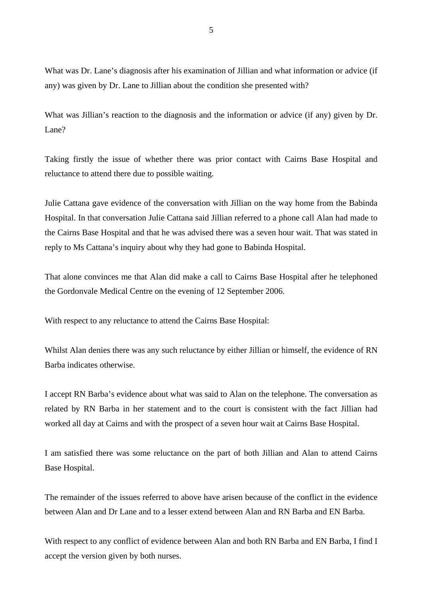What was Dr. Lane's diagnosis after his examination of Jillian and what information or advice (if any) was given by Dr. Lane to Jillian about the condition she presented with?

What was Jillian's reaction to the diagnosis and the information or advice (if any) given by Dr. Lane?

Taking firstly the issue of whether there was prior contact with Cairns Base Hospital and reluctance to attend there due to possible waiting.

Julie Cattana gave evidence of the conversation with Jillian on the way home from the Babinda Hospital. In that conversation Julie Cattana said Jillian referred to a phone call Alan had made to the Cairns Base Hospital and that he was advised there was a seven hour wait. That was stated in reply to Ms Cattana's inquiry about why they had gone to Babinda Hospital.

That alone convinces me that Alan did make a call to Cairns Base Hospital after he telephoned the Gordonvale Medical Centre on the evening of 12 September 2006.

With respect to any reluctance to attend the Cairns Base Hospital:

Whilst Alan denies there was any such reluctance by either Jillian or himself, the evidence of RN Barba indicates otherwise.

I accept RN Barba's evidence about what was said to Alan on the telephone. The conversation as related by RN Barba in her statement and to the court is consistent with the fact Jillian had worked all day at Cairns and with the prospect of a seven hour wait at Cairns Base Hospital.

I am satisfied there was some reluctance on the part of both Jillian and Alan to attend Cairns Base Hospital.

The remainder of the issues referred to above have arisen because of the conflict in the evidence between Alan and Dr Lane and to a lesser extend between Alan and RN Barba and EN Barba.

With respect to any conflict of evidence between Alan and both RN Barba and EN Barba, I find I accept the version given by both nurses.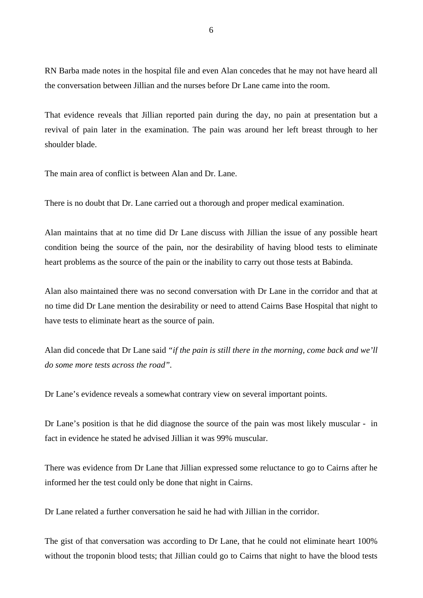RN Barba made notes in the hospital file and even Alan concedes that he may not have heard all the conversation between Jillian and the nurses before Dr Lane came into the room.

That evidence reveals that Jillian reported pain during the day, no pain at presentation but a revival of pain later in the examination. The pain was around her left breast through to her shoulder blade.

The main area of conflict is between Alan and Dr. Lane.

There is no doubt that Dr. Lane carried out a thorough and proper medical examination.

Alan maintains that at no time did Dr Lane discuss with Jillian the issue of any possible heart condition being the source of the pain, nor the desirability of having blood tests to eliminate heart problems as the source of the pain or the inability to carry out those tests at Babinda.

Alan also maintained there was no second conversation with Dr Lane in the corridor and that at no time did Dr Lane mention the desirability or need to attend Cairns Base Hospital that night to have tests to eliminate heart as the source of pain.

Alan did concede that Dr Lane said *"if the pain is still there in the morning, come back and we'll do some more tests across the road".* 

Dr Lane's evidence reveals a somewhat contrary view on several important points.

Dr Lane's position is that he did diagnose the source of the pain was most likely muscular - in fact in evidence he stated he advised Jillian it was 99% muscular.

There was evidence from Dr Lane that Jillian expressed some reluctance to go to Cairns after he informed her the test could only be done that night in Cairns.

Dr Lane related a further conversation he said he had with Jillian in the corridor.

The gist of that conversation was according to Dr Lane, that he could not eliminate heart 100% without the troponin blood tests; that Jillian could go to Cairns that night to have the blood tests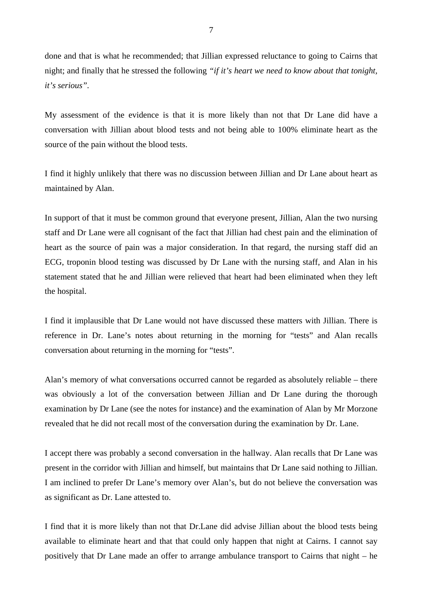done and that is what he recommended; that Jillian expressed reluctance to going to Cairns that night; and finally that he stressed the following *"if it's heart we need to know about that tonight, it's serious".* 

My assessment of the evidence is that it is more likely than not that Dr Lane did have a conversation with Jillian about blood tests and not being able to 100% eliminate heart as the source of the pain without the blood tests.

I find it highly unlikely that there was no discussion between Jillian and Dr Lane about heart as maintained by Alan.

In support of that it must be common ground that everyone present, Jillian, Alan the two nursing staff and Dr Lane were all cognisant of the fact that Jillian had chest pain and the elimination of heart as the source of pain was a major consideration. In that regard, the nursing staff did an ECG, troponin blood testing was discussed by Dr Lane with the nursing staff, and Alan in his statement stated that he and Jillian were relieved that heart had been eliminated when they left the hospital.

I find it implausible that Dr Lane would not have discussed these matters with Jillian. There is reference in Dr. Lane's notes about returning in the morning for "tests" and Alan recalls conversation about returning in the morning for "tests".

Alan's memory of what conversations occurred cannot be regarded as absolutely reliable – there was obviously a lot of the conversation between Jillian and Dr Lane during the thorough examination by Dr Lane (see the notes for instance) and the examination of Alan by Mr Morzone revealed that he did not recall most of the conversation during the examination by Dr. Lane.

I accept there was probably a second conversation in the hallway. Alan recalls that Dr Lane was present in the corridor with Jillian and himself, but maintains that Dr Lane said nothing to Jillian. I am inclined to prefer Dr Lane's memory over Alan's, but do not believe the conversation was as significant as Dr. Lane attested to.

I find that it is more likely than not that Dr.Lane did advise Jillian about the blood tests being available to eliminate heart and that that could only happen that night at Cairns. I cannot say positively that Dr Lane made an offer to arrange ambulance transport to Cairns that night – he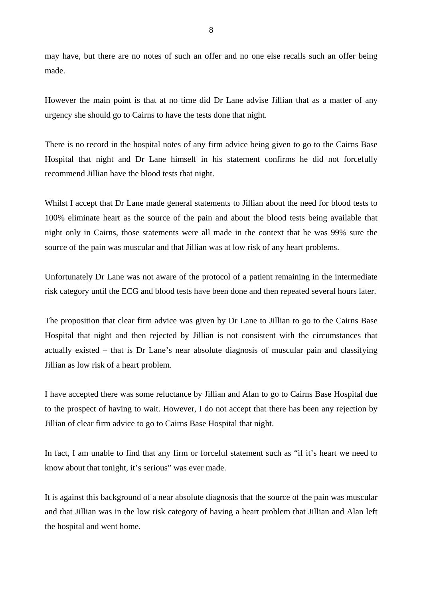may have, but there are no notes of such an offer and no one else recalls such an offer being made.

However the main point is that at no time did Dr Lane advise Jillian that as a matter of any urgency she should go to Cairns to have the tests done that night.

There is no record in the hospital notes of any firm advice being given to go to the Cairns Base Hospital that night and Dr Lane himself in his statement confirms he did not forcefully recommend Jillian have the blood tests that night.

Whilst I accept that Dr Lane made general statements to Jillian about the need for blood tests to 100% eliminate heart as the source of the pain and about the blood tests being available that night only in Cairns, those statements were all made in the context that he was 99% sure the source of the pain was muscular and that Jillian was at low risk of any heart problems.

Unfortunately Dr Lane was not aware of the protocol of a patient remaining in the intermediate risk category until the ECG and blood tests have been done and then repeated several hours later.

The proposition that clear firm advice was given by Dr Lane to Jillian to go to the Cairns Base Hospital that night and then rejected by Jillian is not consistent with the circumstances that actually existed – that is Dr Lane's near absolute diagnosis of muscular pain and classifying Jillian as low risk of a heart problem.

I have accepted there was some reluctance by Jillian and Alan to go to Cairns Base Hospital due to the prospect of having to wait. However, I do not accept that there has been any rejection by Jillian of clear firm advice to go to Cairns Base Hospital that night.

In fact, I am unable to find that any firm or forceful statement such as "if it's heart we need to know about that tonight, it's serious" was ever made.

It is against this background of a near absolute diagnosis that the source of the pain was muscular and that Jillian was in the low risk category of having a heart problem that Jillian and Alan left the hospital and went home.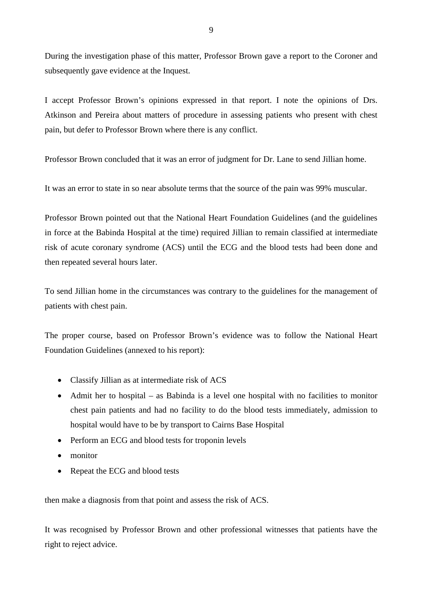During the investigation phase of this matter, Professor Brown gave a report to the Coroner and subsequently gave evidence at the Inquest.

I accept Professor Brown's opinions expressed in that report. I note the opinions of Drs. Atkinson and Pereira about matters of procedure in assessing patients who present with chest pain, but defer to Professor Brown where there is any conflict.

Professor Brown concluded that it was an error of judgment for Dr. Lane to send Jillian home.

It was an error to state in so near absolute terms that the source of the pain was 99% muscular.

Professor Brown pointed out that the National Heart Foundation Guidelines (and the guidelines in force at the Babinda Hospital at the time) required Jillian to remain classified at intermediate risk of acute coronary syndrome (ACS) until the ECG and the blood tests had been done and then repeated several hours later.

To send Jillian home in the circumstances was contrary to the guidelines for the management of patients with chest pain.

The proper course, based on Professor Brown's evidence was to follow the National Heart Foundation Guidelines (annexed to his report):

- Classify Jillian as at intermediate risk of ACS
- Admit her to hospital as Babinda is a level one hospital with no facilities to monitor chest pain patients and had no facility to do the blood tests immediately, admission to hospital would have to be by transport to Cairns Base Hospital
- Perform an ECG and blood tests for troponin levels
- monitor
- Repeat the ECG and blood tests

then make a diagnosis from that point and assess the risk of ACS.

It was recognised by Professor Brown and other professional witnesses that patients have the right to reject advice.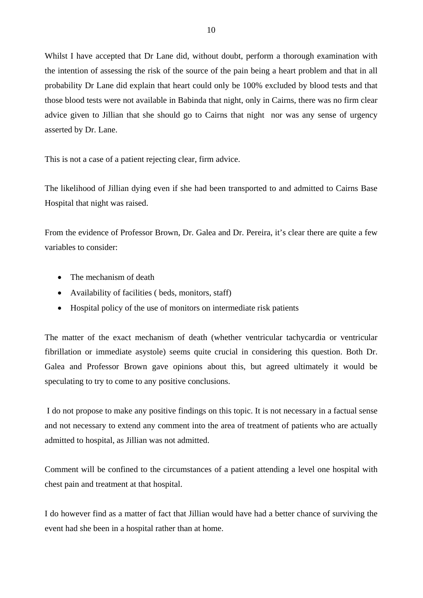Whilst I have accepted that Dr Lane did, without doubt, perform a thorough examination with the intention of assessing the risk of the source of the pain being a heart problem and that in all probability Dr Lane did explain that heart could only be 100% excluded by blood tests and that those blood tests were not available in Babinda that night, only in Cairns, there was no firm clear advice given to Jillian that she should go to Cairns that night nor was any sense of urgency asserted by Dr. Lane.

This is not a case of a patient rejecting clear, firm advice.

The likelihood of Jillian dying even if she had been transported to and admitted to Cairns Base Hospital that night was raised.

From the evidence of Professor Brown, Dr. Galea and Dr. Pereira, it's clear there are quite a few variables to consider:

- The mechanism of death
- Availability of facilities ( beds, monitors, staff)
- Hospital policy of the use of monitors on intermediate risk patients

The matter of the exact mechanism of death (whether ventricular tachycardia or ventricular fibrillation or immediate asystole) seems quite crucial in considering this question. Both Dr. Galea and Professor Brown gave opinions about this, but agreed ultimately it would be speculating to try to come to any positive conclusions.

 I do not propose to make any positive findings on this topic. It is not necessary in a factual sense and not necessary to extend any comment into the area of treatment of patients who are actually admitted to hospital, as Jillian was not admitted.

Comment will be confined to the circumstances of a patient attending a level one hospital with chest pain and treatment at that hospital.

I do however find as a matter of fact that Jillian would have had a better chance of surviving the event had she been in a hospital rather than at home.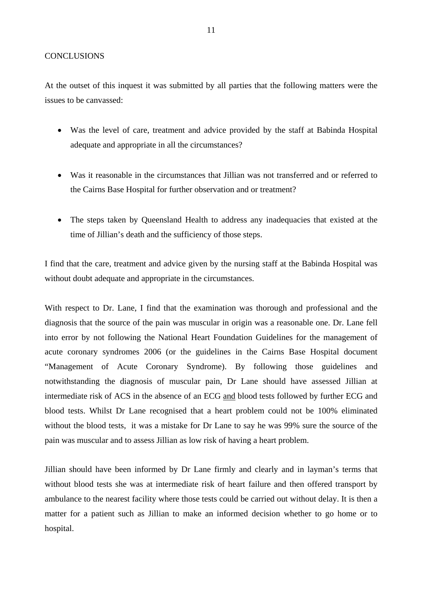#### **CONCLUSIONS**

At the outset of this inquest it was submitted by all parties that the following matters were the issues to be canvassed:

- Was the level of care, treatment and advice provided by the staff at Babinda Hospital adequate and appropriate in all the circumstances?
- Was it reasonable in the circumstances that Jillian was not transferred and or referred to the Cairns Base Hospital for further observation and or treatment?
- The steps taken by Queensland Health to address any inadequacies that existed at the time of Jillian's death and the sufficiency of those steps.

I find that the care, treatment and advice given by the nursing staff at the Babinda Hospital was without doubt adequate and appropriate in the circumstances.

With respect to Dr. Lane, I find that the examination was thorough and professional and the diagnosis that the source of the pain was muscular in origin was a reasonable one. Dr. Lane fell into error by not following the National Heart Foundation Guidelines for the management of acute coronary syndromes 2006 (or the guidelines in the Cairns Base Hospital document "Management of Acute Coronary Syndrome). By following those guidelines and notwithstanding the diagnosis of muscular pain, Dr Lane should have assessed Jillian at intermediate risk of ACS in the absence of an ECG and blood tests followed by further ECG and blood tests. Whilst Dr Lane recognised that a heart problem could not be 100% eliminated without the blood tests, it was a mistake for Dr Lane to say he was 99% sure the source of the pain was muscular and to assess Jillian as low risk of having a heart problem.

Jillian should have been informed by Dr Lane firmly and clearly and in layman's terms that without blood tests she was at intermediate risk of heart failure and then offered transport by ambulance to the nearest facility where those tests could be carried out without delay. It is then a matter for a patient such as Jillian to make an informed decision whether to go home or to hospital.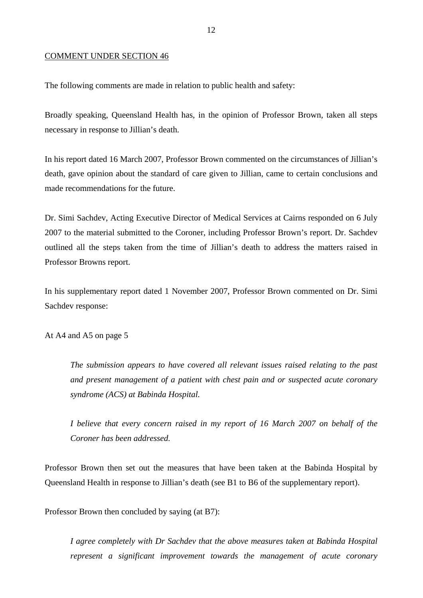#### COMMENT UNDER SECTION 46

The following comments are made in relation to public health and safety:

Broadly speaking, Queensland Health has, in the opinion of Professor Brown, taken all steps necessary in response to Jillian's death.

In his report dated 16 March 2007, Professor Brown commented on the circumstances of Jillian's death, gave opinion about the standard of care given to Jillian, came to certain conclusions and made recommendations for the future.

Dr. Simi Sachdev, Acting Executive Director of Medical Services at Cairns responded on 6 July 2007 to the material submitted to the Coroner, including Professor Brown's report. Dr. Sachdev outlined all the steps taken from the time of Jillian's death to address the matters raised in Professor Browns report.

In his supplementary report dated 1 November 2007, Professor Brown commented on Dr. Simi Sachdev response:

At A4 and A5 on page 5

*The submission appears to have covered all relevant issues raised relating to the past and present management of a patient with chest pain and or suspected acute coronary syndrome (ACS) at Babinda Hospital.* 

*I believe that every concern raised in my report of 16 March 2007 on behalf of the Coroner has been addressed.* 

Professor Brown then set out the measures that have been taken at the Babinda Hospital by Queensland Health in response to Jillian's death (see B1 to B6 of the supplementary report).

Professor Brown then concluded by saying (at B7):

*I agree completely with Dr Sachdev that the above measures taken at Babinda Hospital represent a significant improvement towards the management of acute coronary*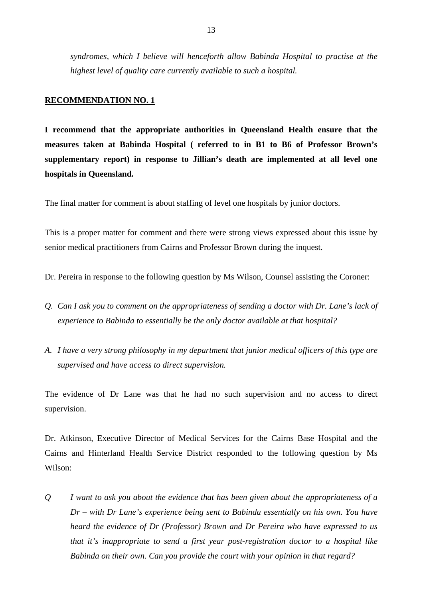*syndromes, which I believe will henceforth allow Babinda Hospital to practise at the highest level of quality care currently available to such a hospital.*

#### **RECOMMENDATION NO. 1**

**I recommend that the appropriate authorities in Queensland Health ensure that the measures taken at Babinda Hospital ( referred to in B1 to B6 of Professor Brown's supplementary report) in response to Jillian's death are implemented at all level one hospitals in Queensland.** 

The final matter for comment is about staffing of level one hospitals by junior doctors.

This is a proper matter for comment and there were strong views expressed about this issue by senior medical practitioners from Cairns and Professor Brown during the inquest.

Dr. Pereira in response to the following question by Ms Wilson, Counsel assisting the Coroner:

- *Q. Can I ask you to comment on the appropriateness of sending a doctor with Dr. Lane's lack of experience to Babinda to essentially be the only doctor available at that hospital?*
- *A. I have a very strong philosophy in my department that junior medical officers of this type are supervised and have access to direct supervision.*

The evidence of Dr Lane was that he had no such supervision and no access to direct supervision.

Dr. Atkinson, Executive Director of Medical Services for the Cairns Base Hospital and the Cairns and Hinterland Health Service District responded to the following question by Ms Wilson:

*Q I want to ask you about the evidence that has been given about the appropriateness of a Dr – with Dr Lane's experience being sent to Babinda essentially on his own. You have heard the evidence of Dr (Professor) Brown and Dr Pereira who have expressed to us that it's inappropriate to send a first year post-registration doctor to a hospital like Babinda on their own. Can you provide the court with your opinion in that regard?*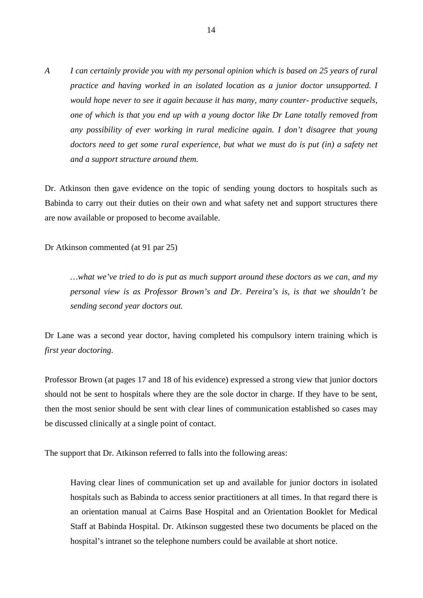*A I can certainly provide you with my personal opinion which is based on 25 years of rural practice and having worked in an isolated location as a junior doctor unsupported. I would hope never to see it again because it has many, many counter- productive sequels, one of which is that you end up with a young doctor like Dr Lane totally removed from any possibility of ever working in rural medicine again. I don't disagree that young*  doctors need to get some rural experience, but what we must do is put (in) a safety net *and a support structure around them.*

Dr. Atkinson then gave evidence on the topic of sending young doctors to hospitals such as Babinda to carry out their duties on their own and what safety net and support structures there are now available or proposed to become available.

Dr Atkinson commented (at 91 par 25)

*…what we've tried to do is put as much support around these doctors as we can, and my personal view is as Professor Brown's and Dr. Pereira's is, is that we shouldn't be sending second year doctors out.* 

Dr Lane was a second year doctor, having completed his compulsory intern training which is *first year doctoring*.

Professor Brown (at pages 17 and 18 of his evidence) expressed a strong view that junior doctors should not be sent to hospitals where they are the sole doctor in charge. If they have to be sent, then the most senior should be sent with clear lines of communication established so cases may be discussed clinically at a single point of contact.

The support that Dr. Atkinson referred to falls into the following areas:

Having clear lines of communication set up and available for junior doctors in isolated hospitals such as Babinda to access senior practitioners at all times. In that regard there is an orientation manual at Cairns Base Hospital and an Orientation Booklet for Medical Staff at Babinda Hospital. Dr. Atkinson suggested these two documents be placed on the hospital's intranet so the telephone numbers could be available at short notice.